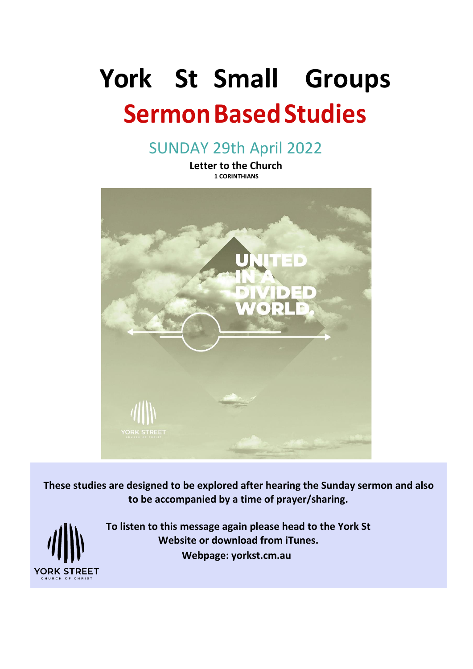# **York St Small Groups Sermon Based Studies**

SUNDAY 29th April 2022

**Letter to the Church 1 CORINTHIANS**



**These studies are designed to be explored after hearing the Sunday sermon and also to be accompanied by a time of prayer/sharing.**



**To listen to this message again please head to the York St Website or download from iTunes. Webpage: yorkst.cm.au**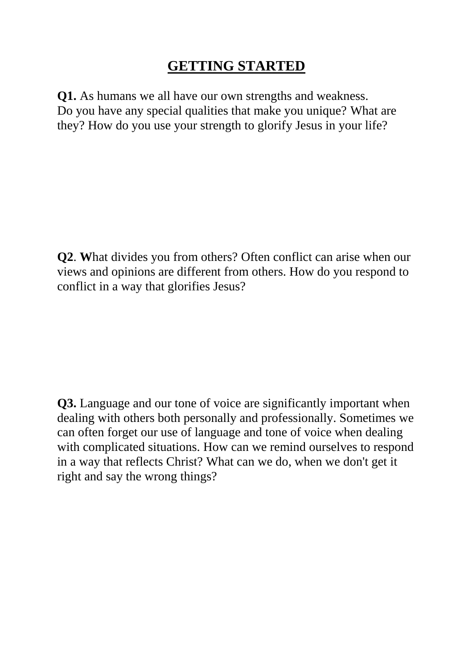## **GETTING STARTED**

**Q1.** As humans we all have our own strengths and weakness. Do you have any special qualities that make you unique? What are they? How do you use your strength to glorify Jesus in your life?

**Q2**. **W**hat divides you from others? Often conflict can arise when our views and opinions are different from others. How do you respond to conflict in a way that glorifies Jesus?

**Q3.** Language and our tone of voice are significantly important when dealing with others both personally and professionally. Sometimes we can often forget our use of language and tone of voice when dealing with complicated situations. How can we remind ourselves to respond in a way that reflects Christ? What can we do, when we don't get it right and say the wrong things?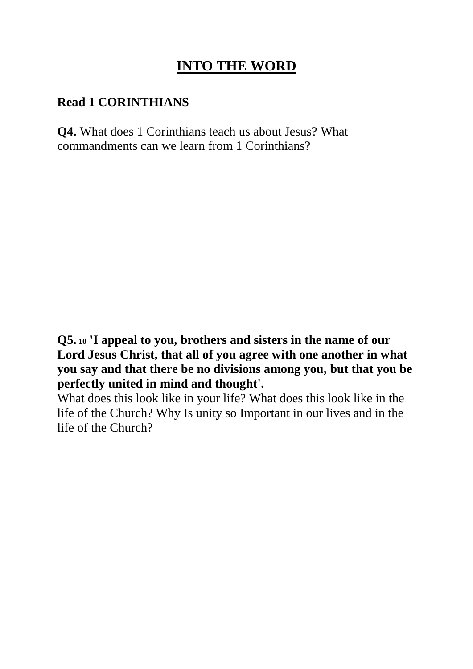## **INTO THE WORD**

#### **Read 1 CORINTHIANS**

**Q4.** What does 1 Corinthians teach us about Jesus? What commandments can we learn from 1 Corinthians?

**Q5. <sup>10</sup> 'I appeal to you, brothers and sisters in the name of our Lord Jesus Christ, that all of you agree with one another in what you say and that there be no divisions among you, but that you be perfectly united in mind and thought'.** 

What does this look like in your life? What does this look like in the life of the Church? Why Is unity so Important in our lives and in the life of the Church?